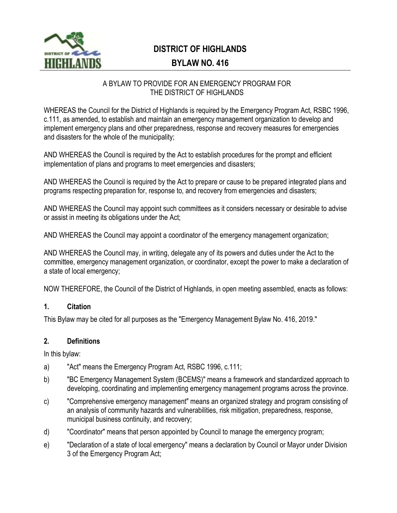

# **DISTRICT OF HIGHLANDS**

## **BYLAW NO. 416**

#### A BYLAW TO PROVIDE FOR AN EMERGENCY PROGRAM FOR THE DISTRICT OF HIGHLANDS

WHEREAS the Council for the District of Highlands is required by the Emergency Program Act, RSBC 1996, c.111, as amended, to establish and maintain an emergency management organization to develop and implement emergency plans and other preparedness, response and recovery measures for emergencies and disasters for the whole of the municipality;

AND WHEREAS the Council is required by the Act to establish procedures for the prompt and efficient implementation of plans and programs to meet emergencies and disasters;

AND WHEREAS the Council is required by the Act to prepare or cause to be prepared integrated plans and programs respecting preparation for, response to, and recovery from emergencies and disasters;

AND WHEREAS the Council may appoint such committees as it considers necessary or desirable to advise or assist in meeting its obligations under the Act;

AND WHEREAS the Council may appoint a coordinator of the emergency management organization;

AND WHEREAS the Council may, in writing, delegate any of its powers and duties under the Act to the committee, emergency management organization, or coordinator, except the power to make a declaration of a state of local emergency;

NOW THEREFORE, the Council of the District of Highlands, in open meeting assembled, enacts as follows:

#### **1. Citation**

This Bylaw may be cited for all purposes as the "Emergency Management Bylaw No. 416, 2019."

#### **2. Definitions**

In this bylaw:

- a) "Act" means the Emergency Program Act, RSBC 1996, c.111;
- b) "BC Emergency Management System (BCEMS)" means a framework and standardized approach to developing, coordinating and implementing emergency management programs across the province.
- c) "Comprehensive emergency management" means an organized strategy and program consisting of an analysis of community hazards and vulnerabilities, risk mitigation, preparedness, response, municipal business continuity, and recovery;
- d) "Coordinator" means that person appointed by Council to manage the emergency program;
- e) "Declaration of a state of local emergency" means a declaration by Council or Mayor under Division 3 of the Emergency Program Act;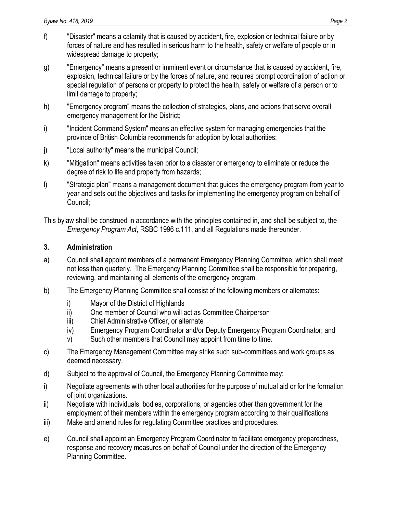- f) "Disaster" means a calamity that is caused by accident, fire, explosion or technical failure or by forces of nature and has resulted in serious harm to the health, safety or welfare of people or in widespread damage to property;
- g) "Emergency" means a present or imminent event or circumstance that is caused by accident, fire, explosion, technical failure or by the forces of nature, and requires prompt coordination of action or special regulation of persons or property to protect the health, safety or welfare of a person or to limit damage to property;
- h) "Emergency program" means the collection of strategies, plans, and actions that serve overall emergency management for the District;
- i) "Incident Command System" means an effective system for managing emergencies that the province of British Columbia recommends for adoption by local authorities;
- j) "Local authority" means the municipal Council;
- k) "Mitigation" means activities taken prior to a disaster or emergency to eliminate or reduce the degree of risk to life and property from hazards;
- l) "Strategic plan" means a management document that guides the emergency program from year to year and sets out the objectives and tasks for implementing the emergency program on behalf of Council;

This bylaw shall be construed in accordance with the principles contained in, and shall be subject to, the *Emergency Program Act*, RSBC 1996 c.111, and all Regulations made thereunder.

#### **3. Administration**

- a) Council shall appoint members of a permanent Emergency Planning Committee, which shall meet not less than quarterly. The Emergency Planning Committee shall be responsible for preparing, reviewing, and maintaining all elements of the emergency program.
- b) The Emergency Planning Committee shall consist of the following members or alternates:
	- i) Mayor of the District of Highlands
	- ii) One member of Council who will act as Committee Chairperson
	- iii) Chief Administrative Officer, or alternate
	- iv) Emergency Program Coordinator and/or Deputy Emergency Program Coordinator; and
	- v) Such other members that Council may appoint from time to time.
- c) The Emergency Management Committee may strike such sub-committees and work groups as deemed necessary.
- d) Subject to the approval of Council, the Emergency Planning Committee may:
- i) Negotiate agreements with other local authorities for the purpose of mutual aid or for the formation of joint organizations.
- ii) Negotiate with individuals, bodies, corporations, or agencies other than government for the employment of their members within the emergency program according to their qualifications
- iii) Make and amend rules for regulating Committee practices and procedures.
- e) Council shall appoint an Emergency Program Coordinator to facilitate emergency preparedness, response and recovery measures on behalf of Council under the direction of the Emergency Planning Committee.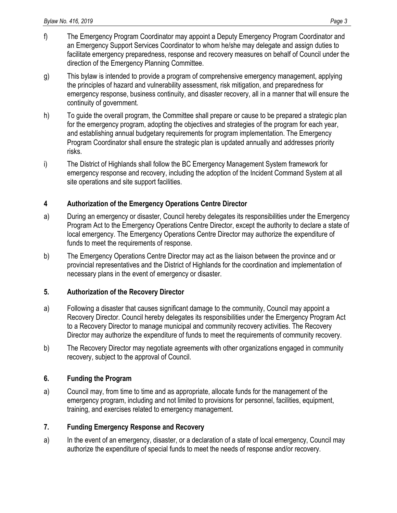- f) The Emergency Program Coordinator may appoint a Deputy Emergency Program Coordinator and an Emergency Support Services Coordinator to whom he/she may delegate and assign duties to facilitate emergency preparedness, response and recovery measures on behalf of Council under the direction of the Emergency Planning Committee.
- g) This bylaw is intended to provide a program of comprehensive emergency management, applying the principles of hazard and vulnerability assessment, risk mitigation, and preparedness for emergency response, business continuity, and disaster recovery, all in a manner that will ensure the continuity of government.
- h) To guide the overall program, the Committee shall prepare or cause to be prepared a strategic plan for the emergency program, adopting the objectives and strategies of the program for each year, and establishing annual budgetary requirements for program implementation. The Emergency Program Coordinator shall ensure the strategic plan is updated annually and addresses priority risks.
- i) The District of Highlands shall follow the BC Emergency Management System framework for emergency response and recovery, including the adoption of the Incident Command System at all site operations and site support facilities.

## **4 Authorization of the Emergency Operations Centre Director**

- a) During an emergency or disaster, Council hereby delegates its responsibilities under the Emergency Program Act to the Emergency Operations Centre Director, except the authority to declare a state of local emergency. The Emergency Operations Centre Director may authorize the expenditure of funds to meet the requirements of response.
- b) The Emergency Operations Centre Director may act as the liaison between the province and or provincial representatives and the District of Highlands for the coordination and implementation of necessary plans in the event of emergency or disaster.

## **5. Authorization of the Recovery Director**

- a) Following a disaster that causes significant damage to the community, Council may appoint a Recovery Director. Council hereby delegates its responsibilities under the Emergency Program Act to a Recovery Director to manage municipal and community recovery activities. The Recovery Director may authorize the expenditure of funds to meet the requirements of community recovery.
- b) The Recovery Director may negotiate agreements with other organizations engaged in community recovery, subject to the approval of Council.

## **6. Funding the Program**

a) Council may, from time to time and as appropriate, allocate funds for the management of the emergency program, including and not limited to provisions for personnel, facilities, equipment, training, and exercises related to emergency management.

## **7. Funding Emergency Response and Recovery**

a) In the event of an emergency, disaster, or a declaration of a state of local emergency, Council may authorize the expenditure of special funds to meet the needs of response and/or recovery.